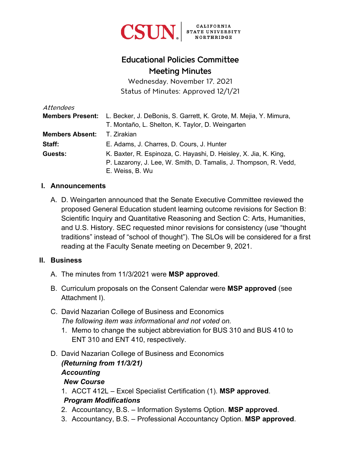

# Educational Policies Committee Meeting Minutes

Wednesday, November 17, 2021 Status of Minutes: Approved 12/1/21

| Attendees              |                                                                                    |
|------------------------|------------------------------------------------------------------------------------|
|                        | Members Present: L. Becker, J. DeBonis, S. Garrett, K. Grote, M. Mejia, Y. Mimura, |
|                        | T. Montaño, L. Shelton, K. Taylor, D. Weingarten                                   |
| <b>Members Absent:</b> | T. Zirakian                                                                        |
| Staff:                 | E. Adams, J. Charres, D. Cours, J. Hunter                                          |
| Guests:                | K. Baxter, R. Espinoza, C. Hayashi, D. Heisley, X. Jia, K. King,                   |
|                        | P. Lazarony, J. Lee, W. Smith, D. Tamalis, J. Thompson, R. Vedd,                   |
|                        | E. Weiss, B. Wu                                                                    |

### **I. Announcements**

A. D. Weingarten announced that the Senate Executive Committee reviewed the proposed General Education student learning outcome revisions for Section B: Scientific Inquiry and Quantitative Reasoning and Section C: Arts, Humanities, and U.S. History. SEC requested minor revisions for consistency (use "thought traditions" instead of "school of thought"). The SLOs will be considered for a first reading at the Faculty Senate meeting on December 9, 2021.

### **II. Business**

- A. The minutes from 11/3/2021 were **MSP approved**.
- B. Curriculum proposals on the Consent Calendar were **MSP approved** (see Attachment I).
- C. David Nazarian College of Business and Economics *The following item was informational and not voted on.*
	- 1. Memo to change the subject abbreviation for BUS 310 and BUS 410 to ENT 310 and ENT 410, respectively.
- D. David Nazarian College of Business and Economics *(Returning from 11/3/21) Accounting New Course*
	- 1. ACCT 412L Excel Specialist Certification (1). **MSP approved**. *Program Modifications*
	- 2. Accountancy, B.S. Information Systems Option. **MSP approved**.
	- 3. Accountancy, B.S. Professional Accountancy Option. **MSP approved**.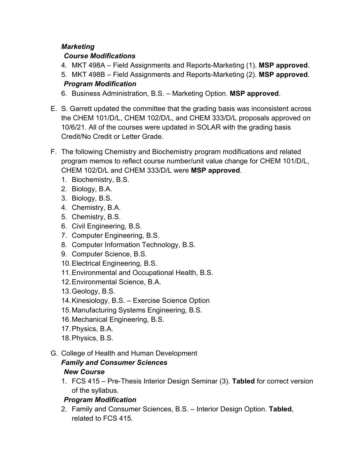# *Marketing*

# *Course Modifications*

- 4. MKT 498A Field Assignments and Reports-Marketing (1). **MSP approved**.
- 5. MKT 498B Field Assignments and Reports-Marketing (2). **MSP approved**. *Program Modification*
- 6. Business Administration, B.S. Marketing Option. **MSP approved**.
- E. S. Garrett updated the committee that the grading basis was inconsistent across the CHEM 101/D/L, CHEM 102/D/L, and CHEM 333/D/L proposals approved on 10/6/21. All of the courses were updated in SOLAR with the grading basis Credit/No Credit or Letter Grade.
- F. The following Chemistry and Biochemistry program modifications and related program memos to reflect course number/unit value change for CHEM 101/D/L, CHEM 102/D/L and CHEM 333/D/L were **MSP approved**.
	- 1. Biochemistry, B.S.
	- 2. Biology, B.A.
	- 3. Biology, B.S.
	- 4. Chemistry, B.A.
	- 5. Chemistry, B.S.
	- 6. Civil Engineering, B.S.
	- 7. Computer Engineering, B.S.
	- 8. Computer Information Technology, B.S.
	- 9. Computer Science, B.S.
	- 10. Electrical Engineering, B.S.
	- 11. Environmental and Occupational Health, B.S.
	- 12. Environmental Science, B.A.
	- 13. Geology, B.S.
	- 14. Kinesiology, B.S. Exercise Science Option
	- 15. Manufacturing Systems Engineering, B.S.
	- 16. Mechanical Engineering, B.S.
	- 17. Physics, B.A.
	- 18. Physics, B.S.
- G. College of Health and Human Development

### *Family and Consumer Sciences New Course*

1. FCS 415 – Pre-Thesis Interior Design Seminar (3). **Tabled** for correct version of the syllabus.

# *Program Modification*

2. Family and Consumer Sciences, B.S. – Interior Design Option. **Tabled**, related to FCS 415.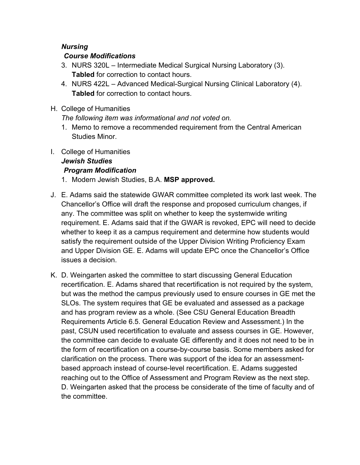## *Nursing*

## *Course Modifications*

- 3. NURS 320L Intermediate Medical Surgical Nursing Laboratory (3). **Tabled** for correction to contact hours.
- 4. NURS 422L Advanced Medical-Surgical Nursing Clinical Laboratory (4). **Tabled** for correction to contact hours.
- H. College of Humanities

*The following item was informational and not voted on.*

- 1. Memo to remove a recommended requirement from the Central American Studies Minor.
- I. College of Humanities

#### *Jewish Studies Program Modification*

- 1. Modern Jewish Studies, B.A. **MSP approved.**
- J. E. Adams said the statewide GWAR committee completed its work last week. The Chancellor's Office will draft the response and proposed curriculum changes, if any. The committee was split on whether to keep the systemwide writing requirement. E. Adams said that if the GWAR is revoked, EPC will need to decide whether to keep it as a campus requirement and determine how students would satisfy the requirement outside of the Upper Division Writing Proficiency Exam and Upper Division GE. E. Adams will update EPC once the Chancellor's Office issues a decision.
- K. D. Weingarten asked the committee to start discussing General Education recertification. E. Adams shared that recertification is not required by the system, but was the method the campus previously used to ensure courses in GE met the SLOs. The system requires that GE be evaluated and assessed as a package and has program review as a whole. (See CSU General Education Breadth Requirements Article 6.5. General Education Review and Assessment.) In the past, CSUN used recertification to evaluate and assess courses in GE. However, the committee can decide to evaluate GE differently and it does not need to be in the form of recertification on a course-by-course basis. Some members asked for clarification on the process. There was support of the idea for an assessmentbased approach instead of course-level recertification. E. Adams suggested reaching out to the Office of Assessment and Program Review as the next step. D. Weingarten asked that the process be considerate of the time of faculty and of the committee.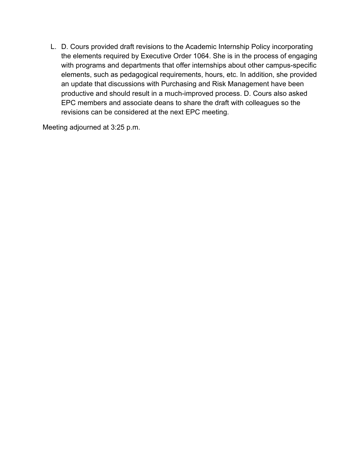L. D. Cours provided draft revisions to the Academic Internship Policy incorporating the elements required by Executive Order 1064. She is in the process of engaging with programs and departments that offer internships about other campus-specific elements, such as pedagogical requirements, hours, etc. In addition, she provided an update that discussions with Purchasing and Risk Management have been productive and should result in a much-improved process. D. Cours also asked EPC members and associate deans to share the draft with colleagues so the revisions can be considered at the next EPC meeting.

Meeting adjourned at 3:25 p.m.